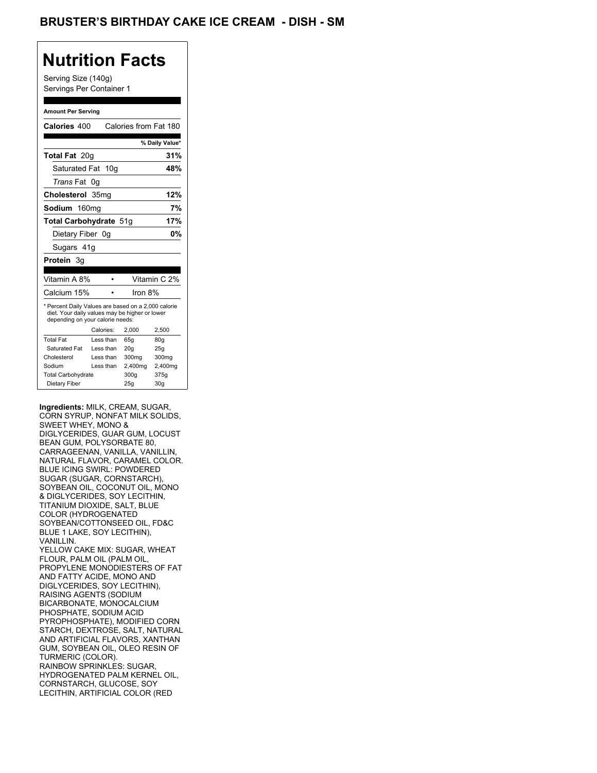## **Nutrition Facts**

Serving Size (140g) Servings Per Container 1

#### **Amount Per Serving**

|                           |                                                                                                                                                                                                | % Daily Value*                                                                                                                                                                                                                          |
|---------------------------|------------------------------------------------------------------------------------------------------------------------------------------------------------------------------------------------|-----------------------------------------------------------------------------------------------------------------------------------------------------------------------------------------------------------------------------------------|
|                           |                                                                                                                                                                                                | 31%                                                                                                                                                                                                                                     |
|                           |                                                                                                                                                                                                | 48%                                                                                                                                                                                                                                     |
| 0g                        |                                                                                                                                                                                                |                                                                                                                                                                                                                                         |
|                           |                                                                                                                                                                                                | 12%                                                                                                                                                                                                                                     |
|                           |                                                                                                                                                                                                | 7%                                                                                                                                                                                                                                      |
|                           |                                                                                                                                                                                                | 17%                                                                                                                                                                                                                                     |
|                           |                                                                                                                                                                                                | 0%                                                                                                                                                                                                                                      |
|                           |                                                                                                                                                                                                |                                                                                                                                                                                                                                         |
|                           |                                                                                                                                                                                                |                                                                                                                                                                                                                                         |
|                           |                                                                                                                                                                                                |                                                                                                                                                                                                                                         |
|                           |                                                                                                                                                                                                | Vitamin C 2%                                                                                                                                                                                                                            |
|                           | Iron 8%                                                                                                                                                                                        |                                                                                                                                                                                                                                         |
|                           |                                                                                                                                                                                                | 2,500                                                                                                                                                                                                                                   |
|                           |                                                                                                                                                                                                |                                                                                                                                                                                                                                         |
|                           |                                                                                                                                                                                                | 80q<br>25q                                                                                                                                                                                                                              |
|                           |                                                                                                                                                                                                | 300mg                                                                                                                                                                                                                                   |
|                           |                                                                                                                                                                                                | 2,400mg                                                                                                                                                                                                                                 |
|                           |                                                                                                                                                                                                |                                                                                                                                                                                                                                         |
| <b>Total Carbohydrate</b> | 300g                                                                                                                                                                                           | 375g                                                                                                                                                                                                                                    |
| Vitamin A 8%              | Calories 400<br>Total Fat 20g<br>Saturated Fat 10g<br>Cholesterol 35mg<br>160 <sub>mq</sub><br>Dietary Fiber 0g<br>Sugars 41g<br>Calories:<br>Less than<br>Less than<br>Less than<br>Less than | Calories from Fat 180<br>Total Carbohydrate 51g<br>* Percent Daily Values are based on a 2,000 calorie<br>diet. Your daily values may be higher or lower<br>depending on your calorie needs:<br>2.000<br>65q<br>20q<br>300mg<br>2,400mg |

**Ingredients:** MILK, CREAM, SUGAR, CORN SYRUP, NONFAT MILK SOLIDS, SWEET WHEY, MONO & DIGLYCERIDES, GUAR GUM, LOCUST BEAN GUM, POLYSORBATE 80, CARRAGEENAN, VANILLA, VANILLIN, NATURAL FLAVOR, CARAMEL COLOR. BLUE ICING SWIRL: POWDERED SUGAR (SUGAR, CORNSTARCH), SOYBEAN OIL, COCONUT OIL, MONO & DIGLYCERIDES, SOY LECITHIN, TITANIUM DIOXIDE, SALT, BLUE COLOR (HYDROGENATED SOYBEAN/COTTONSEED OIL, FD&C BLUE 1 LAKE, SOY LECITHIN), VANILLIN. YELLOW CAKE MIX: SUGAR, WHEAT FLOUR, PALM OIL (PALM OIL, PROPYLENE MONODIESTERS OF FAT AND FATTY ACIDE, MONO AND DIGLYCERIDES, SOY LECITHIN), RAISING AGENTS (SODIUM BICARBONATE, MONOCALCIUM PHOSPHATE, SODIUM ACID PYROPHOSPHATE), MODIFIED CORN STARCH, DEXTROSE, SALT, NATURAL AND ARTIFICIAL FLAVORS, XANTHAN GUM, SOYBEAN OIL, OLEO RESIN OF TURMERIC (COLOR). RAINBOW SPRINKLES: SUGAR, HYDROGENATED PALM KERNEL OIL, CORNSTARCH, GLUCOSE, SOY LECITHIN, ARTIFICIAL COLOR (RED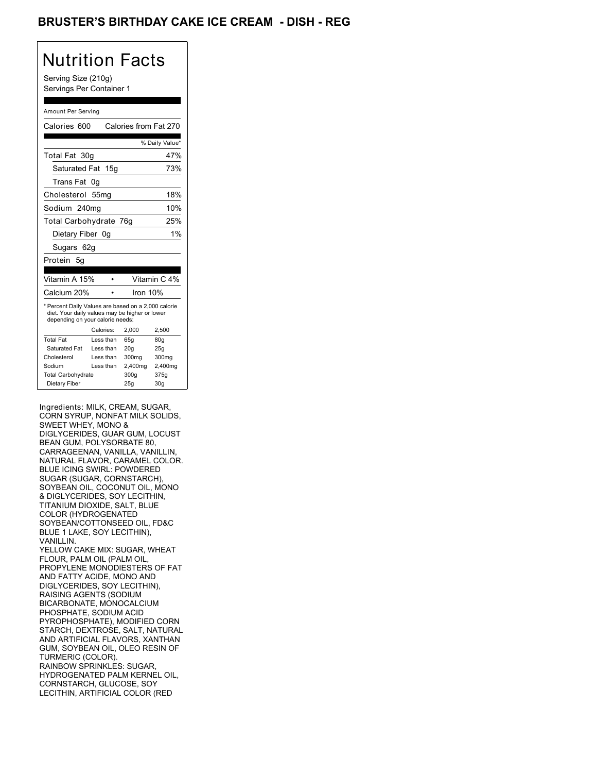## BRUSTER'S BIRTHDAY CAKE ICE CREAM - DISH - REG

## Nutrition Facts

Serving Size (210g) Servings Per Container 1

#### Amount Per Serving

| Calories 600                                                                                                                              |           |  | Calories from Fat 270 |                 |
|-------------------------------------------------------------------------------------------------------------------------------------------|-----------|--|-----------------------|-----------------|
|                                                                                                                                           |           |  |                       | % Daily Value*  |
| Total Fat 30g                                                                                                                             |           |  |                       | 47%             |
| Saturated Fat 15g                                                                                                                         |           |  |                       | 73%             |
| Trans Fat                                                                                                                                 | 0g        |  |                       |                 |
| Cholesterol 55mg                                                                                                                          |           |  |                       | 18%             |
| Sodium 240mg                                                                                                                              |           |  |                       | 10%             |
| Total Carbohydrate 76g                                                                                                                    |           |  |                       | 25%             |
| Dietary Fiber 0q                                                                                                                          |           |  |                       | 1%              |
| Sugars 62g                                                                                                                                |           |  |                       |                 |
| Protein 5q                                                                                                                                |           |  |                       |                 |
|                                                                                                                                           |           |  |                       |                 |
| Vitamin A 15%                                                                                                                             |           |  |                       | Vitamin C 4%    |
| Calcium 20%                                                                                                                               |           |  | Iron $10%$            |                 |
| * Percent Daily Values are based on a 2,000 calorie<br>diet. Your daily values may be higher or lower<br>depending on your calorie needs: |           |  |                       |                 |
|                                                                                                                                           | Calories: |  | 2.000                 | 2,500           |
| <b>Total Fat</b>                                                                                                                          | Less than |  | 65q                   | 80 <sub>g</sub> |
| Saturated Fat                                                                                                                             | Less than |  | 20q                   | 25q             |
| Cholesterol                                                                                                                               | Less than |  | 300mg                 | 300mg           |
| Sodium                                                                                                                                    | Less than |  | 2,400mg               | 2,400mg         |
| <b>Total Carbohydrate</b>                                                                                                                 |           |  | 300a                  | 375g            |
| Dietary Fiber                                                                                                                             |           |  | 25g                   | 30 <sub>q</sub> |

Ingredients: MILK, CREAM, SUGAR, CORN SYRUP, NONFAT MILK SOLIDS, SWEET WHEY, MONO & DIGLYCERIDES, GUAR GUM, LOCUST BEAN GUM, POLYSORBATE 80, CARRAGEENAN, VANILLA, VANILLIN, NATURAL FLAVOR, CARAMEL COLOR. BLUE ICING SWIRL: POWDERED SUGAR (SUGAR, CORNSTARCH), SOYBEAN OIL, COCONUT OIL, MONO & DIGLYCERIDES, SOY LECITHIN, TITANIUM DIOXIDE, SALT, BLUE COLOR (HYDROGENATED SOYBEAN/COTTONSEED OIL, FD&C BLUE 1 LAKE, SOY LECITHIN), VANILLIN. YELLOW CAKE MIX: SUGAR, WHEAT FLOUR, PALM OIL (PALM OIL, PROPYLENE MONODIESTERS OF FAT AND FATTY ACIDE, MONO AND DIGLYCERIDES, SOY LECITHIN), RAISING AGENTS (SODIUM BICARBONATE, MONOCALCIUM PHOSPHATE, SODIUM ACID PYROPHOSPHATE), MODIFIED CORN STARCH, DEXTROSE, SALT, NATURAL AND ARTIFICIAL FLAVORS, XANTHAN GUM, SOYBEAN OIL, OLEO RESIN OF TURMERIC (COLOR). RAINBOW SPRINKLES: SUGAR, HYDROGENATED PALM KERNEL OIL, CORNSTARCH, GLUCOSE, SOY LECITHIN, ARTIFICIAL COLOR (RED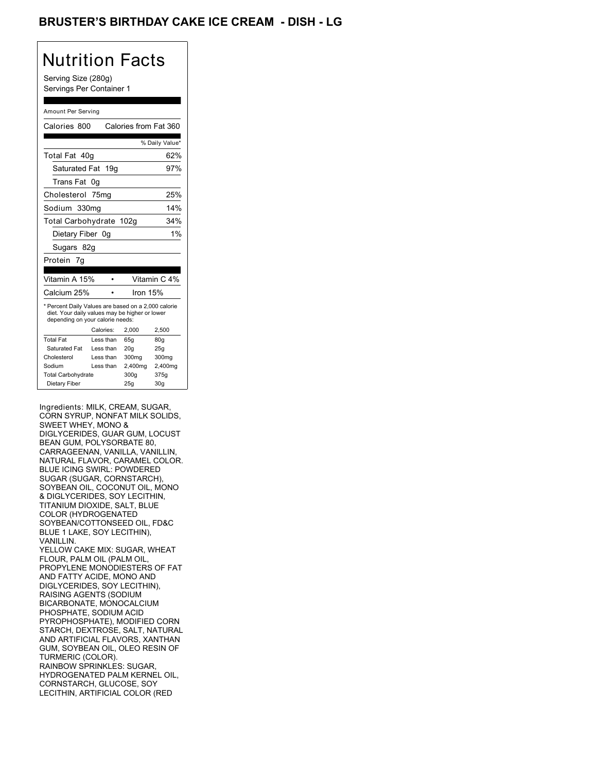## BRUSTER'S BIRTHDAY CAKE ICE CREAM - DISH - LG

## Nutrition Facts

Serving Size (280g) Servings Per Container 1

#### Amount Per Serving

| Calories 800                                                                                                                              |            |         | Calories from Fat 360 |
|-------------------------------------------------------------------------------------------------------------------------------------------|------------|---------|-----------------------|
|                                                                                                                                           |            |         |                       |
|                                                                                                                                           |            |         | % Daily Value*        |
| Total Fat 40q                                                                                                                             |            |         | 62%                   |
| Saturated Fat 19g                                                                                                                         |            |         | 97%                   |
| Trans Fat                                                                                                                                 | 0g         |         |                       |
| Cholesterol 75mg                                                                                                                          |            |         | 25%                   |
| Sodium 330mg                                                                                                                              |            |         | 14%                   |
| Total Carbohydrate 102g                                                                                                                   |            |         | 34%                   |
| Dietary Fiber 0q                                                                                                                          |            |         | 1%                    |
| Sugars 82g                                                                                                                                |            |         |                       |
| Protein 7g                                                                                                                                |            |         |                       |
|                                                                                                                                           |            |         |                       |
| Vitamin A 15%                                                                                                                             |            |         | Vitamin C 4%          |
| Calcium 25%                                                                                                                               |            |         | Iron 15%              |
| * Percent Daily Values are based on a 2,000 calorie<br>diet. Your daily values may be higher or lower<br>depending on your calorie needs: |            |         |                       |
|                                                                                                                                           | Calories:  | 2.000   | 2,500                 |
| <b>Total Fat</b>                                                                                                                          | Less than  | 65q     | 80 <sub>g</sub>       |
| Saturated Fat                                                                                                                             | Less than  | 20q     | 25q                   |
| Cholesterol                                                                                                                               | I ess than | 300mg   | 300mg                 |
| Sodium                                                                                                                                    | Less than  | 2,400mg | 2,400mg               |
| <b>Total Carbohydrate</b>                                                                                                                 |            | 300a    | 375g                  |
| Dietary Fiber                                                                                                                             |            | 25q     | 30 <sub>q</sub>       |

Ingredients: MILK, CREAM, SUGAR, CORN SYRUP, NONFAT MILK SOLIDS, SWEET WHEY, MONO & DIGLYCERIDES, GUAR GUM, LOCUST BEAN GUM, POLYSORBATE 80, CARRAGEENAN, VANILLA, VANILLIN, NATURAL FLAVOR, CARAMEL COLOR. BLUE ICING SWIRL: POWDERED SUGAR (SUGAR, CORNSTARCH), SOYBEAN OIL, COCONUT OIL, MONO & DIGLYCERIDES, SOY LECITHIN, TITANIUM DIOXIDE, SALT, BLUE COLOR (HYDROGENATED SOYBEAN/COTTONSEED OIL, FD&C BLUE 1 LAKE, SOY LECITHIN), VANILLIN. YELLOW CAKE MIX: SUGAR, WHEAT FLOUR, PALM OIL (PALM OIL, PROPYLENE MONODIESTERS OF FAT AND FATTY ACIDE, MONO AND DIGLYCERIDES, SOY LECITHIN), RAISING AGENTS (SODIUM BICARBONATE, MONOCALCIUM PHOSPHATE, SODIUM ACID PYROPHOSPHATE), MODIFIED CORN STARCH, DEXTROSE, SALT, NATURAL AND ARTIFICIAL FLAVORS, XANTHAN GUM, SOYBEAN OIL, OLEO RESIN OF TURMERIC (COLOR). RAINBOW SPRINKLES: SUGAR, HYDROGENATED PALM KERNEL OIL, CORNSTARCH, GLUCOSE, SOY LECITHIN, ARTIFICIAL COLOR (RED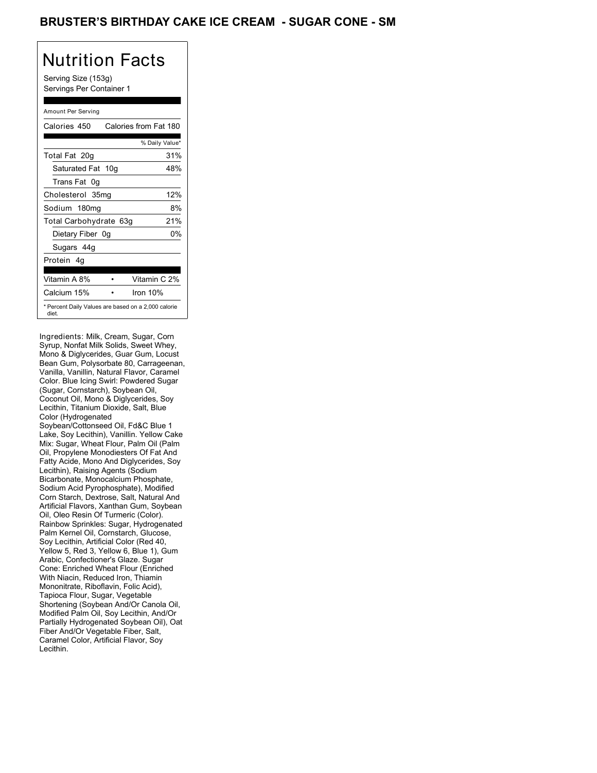### BRUSTER'S BIRTHDAY CAKE ICE CREAM - SUGAR CONE - SM

# Nutrition Facts

Serving Size (153g) Servings Per Container 1

#### Amount Per Serving

| Calories 450                                                 | Calories from Fat 180 |
|--------------------------------------------------------------|-----------------------|
|                                                              | % Daily Value*        |
| Total Fat 20g                                                | 31%                   |
| Saturated Fat 10g                                            | 48%                   |
| Trans Fat 0q                                                 |                       |
| Cholesterol 35mg                                             | 12%                   |
| Sodium 180mg                                                 | 8%                    |
| Total Carbohydrate 63g                                       | 21%                   |
| Dietary Fiber 0g                                             | 0%                    |
| Sugars 44g                                                   |                       |
| Protein 4q                                                   |                       |
|                                                              |                       |
| Vitamin A 8%                                                 | Vitamin C 2%          |
| Calcium 15%                                                  | Iron $10%$            |
| * Percent Daily Values are based on a 2,000 calorie<br>diet. |                       |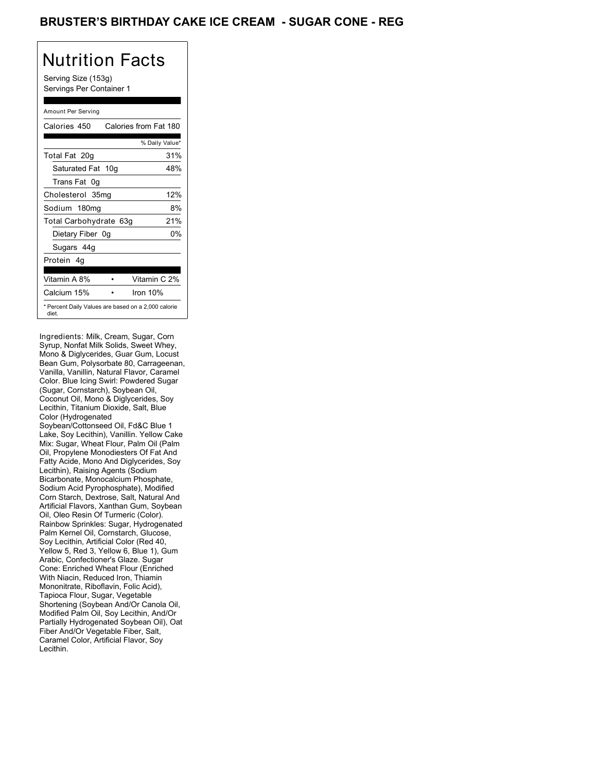### BRUSTER'S BIRTHDAY CAKE ICE CREAM - SUGAR CONE - REG

# Nutrition Facts

Serving Size (153g) Servings Per Container 1

#### Amount Per Serving

| Calories 450                                                 | Calories from Fat 180 |
|--------------------------------------------------------------|-----------------------|
|                                                              | % Daily Value*        |
| Total Fat 20g                                                | 31%                   |
| Saturated Fat 10g                                            | 48%                   |
| Trans Fat 0q                                                 |                       |
| Cholesterol 35mg                                             | 12%                   |
| Sodium 180mg                                                 | 8%                    |
| Total Carbohydrate 63g                                       | 21%                   |
| Dietary Fiber 0g                                             | 0%                    |
| Sugars 44g                                                   |                       |
| Protein 4q                                                   |                       |
|                                                              |                       |
| Vitamin A 8%                                                 | Vitamin C 2%          |
| Calcium 15%                                                  | Iron $10%$            |
| * Percent Daily Values are based on a 2,000 calorie<br>diet. |                       |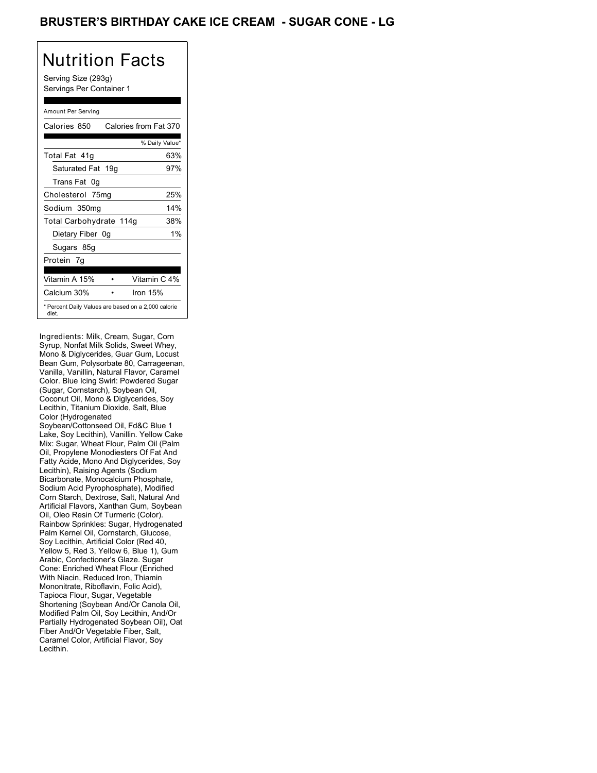### BRUSTER'S BIRTHDAY CAKE ICE CREAM - SUGAR CONE - LG

# Nutrition Facts

Serving Size (293g) Servings Per Container 1

#### Amount Per Serving

| Calories 850            | Calories from Fat 370                               |
|-------------------------|-----------------------------------------------------|
|                         | % Daily Value*                                      |
| Total Fat 41g           | 63%                                                 |
| Saturated Fat 19g       | 97%                                                 |
| Trans Fat 0q            |                                                     |
| Cholesterol 75mg        | 25%                                                 |
| Sodium 350mg            | 14%                                                 |
| Total Carbohydrate 114g | 38%                                                 |
| Dietary Fiber 0g        | 1%                                                  |
| Sugars 85g              |                                                     |
| Protein 7q              |                                                     |
|                         |                                                     |
| Vitamin A 15%           | Vitamin C 4%                                        |
| Calcium 30%             | Iron $15%$                                          |
| diet.                   | * Percent Daily Values are based on a 2,000 calorie |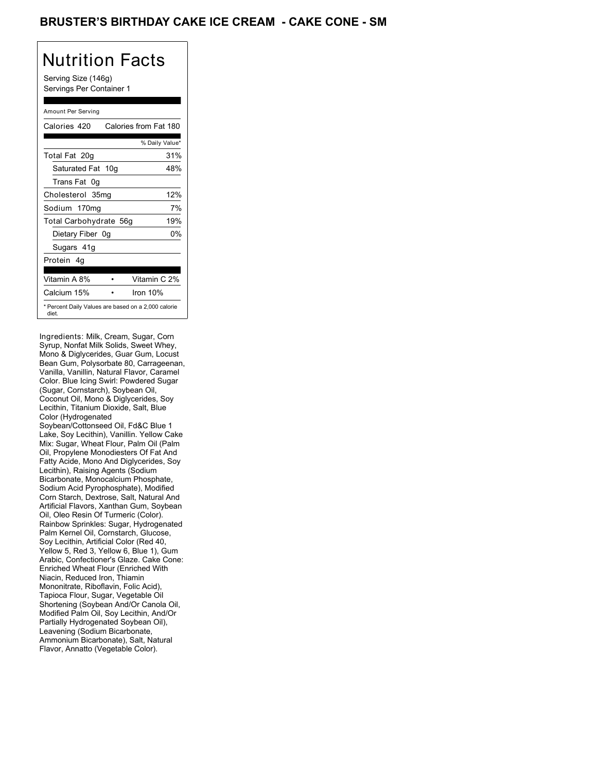### BRUSTER'S BIRTHDAY CAKE ICE CREAM - CAKE CONE - SM

# Nutrition Facts

Serving Size (146g) Servings Per Container 1

#### Amount Per Serving

| Calories 420                                                 | Calories from Fat 180 |
|--------------------------------------------------------------|-----------------------|
|                                                              | % Daily Value*        |
| Total Fat 20g                                                | 31%                   |
| Saturated Fat 10g                                            | 48%                   |
| Trans Fat 0q                                                 |                       |
| Cholesterol 35mg                                             | 12%                   |
| Sodium 170mg                                                 | 7%                    |
| Total Carbohydrate 56g                                       | 19%                   |
| Dietary Fiber 0g                                             | 0%                    |
| Sugars 41g                                                   |                       |
| Protein 4q                                                   |                       |
| Vitamin A 8%                                                 | Vitamin C 2%          |
| Calcium 15%                                                  | Iron $10%$            |
| * Percent Daily Values are based on a 2,000 calorie<br>diet. |                       |

Ingredients: Milk, Cream, Sugar, Corn Syrup, Nonfat Milk Solids, Sweet Whey, Mono & Diglycerides, Guar Gum, Locust Bean Gum, Polysorbate 80, Carrageenan, Vanilla, Vanillin, Natural Flavor, Caramel Color. Blue Icing Swirl: Powdered Sugar (Sugar, Cornstarch), Soybean Oil, Coconut Oil, Mono & Diglycerides, Soy Lecithin, Titanium Dioxide, Salt, Blue Color (Hydrogenated Soybean/Cottonseed Oil, Fd&C Blue 1 Lake, Soy Lecithin), Vanillin. Yellow Cake Mix: Sugar, Wheat Flour, Palm Oil (Palm Oil, Propylene Monodiesters Of Fat And Fatty Acide, Mono And Diglycerides, Soy Lecithin), Raising Agents (Sodium Bicarbonate, Monocalcium Phosphate, Sodium Acid Pyrophosphate), Modified Corn Starch, Dextrose, Salt, Natural And Artificial Flavors, Xanthan Gum, Soybean Oil, Oleo Resin Of Turmeric (Color). Rainbow Sprinkles: Sugar, Hydrogenated Palm Kernel Oil, Cornstarch, Glucose, Soy Lecithin, Artificial Color (Red 40, Yellow 5, Red 3, Yellow 6, Blue 1), Gum Arabic, Confectioner's Glaze. Cake Cone: Enriched Wheat Flour (Enriched With Niacin, Reduced Iron, Thiamin Mononitrate, Riboflavin, Folic Acid), Tapioca Flour, Sugar, Vegetable Oil Shortening (Soybean And/Or Canola Oil, Modified Palm Oil, Soy Lecithin, And/Or Partially Hydrogenated Soybean Oil), Leavening (Sodium Bicarbonate, Ammonium Bicarbonate), Salt, Natural Flavor, Annatto (Vegetable Color).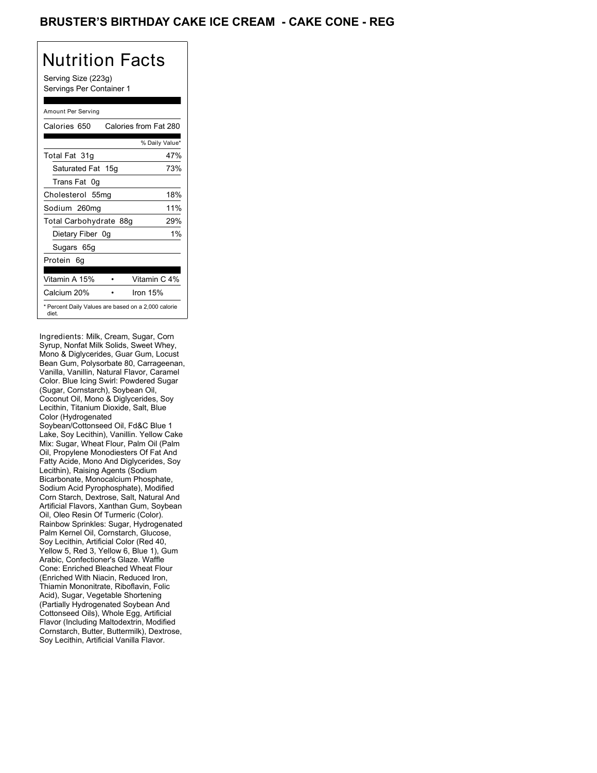### BRUSTER'S BIRTHDAY CAKE ICE CREAM - CAKE CONE - REG

# Nutrition Facts

Serving Size (223g) Servings Per Container 1

#### Amount Per Serving

| Calories 650           | Calories from Fat 280                               |
|------------------------|-----------------------------------------------------|
|                        | % Daily Value*                                      |
| Total Fat 31g          | 47%                                                 |
| Saturated Fat 15g      | 73%                                                 |
| Trans Fat 0q           |                                                     |
| Cholesterol 55mg       | 18%                                                 |
| Sodium 260mg           | 11%                                                 |
| Total Carbohydrate 88g | 29%                                                 |
| Dietary Fiber 0g       | $1\%$                                               |
| Sugars 65g             |                                                     |
| Protein 6q             |                                                     |
|                        |                                                     |
| Vitamin A 15%          | Vitamin C 4%                                        |
| Calcium 20%            | Iron $15%$                                          |
| diet.                  | * Percent Daily Values are based on a 2,000 calorie |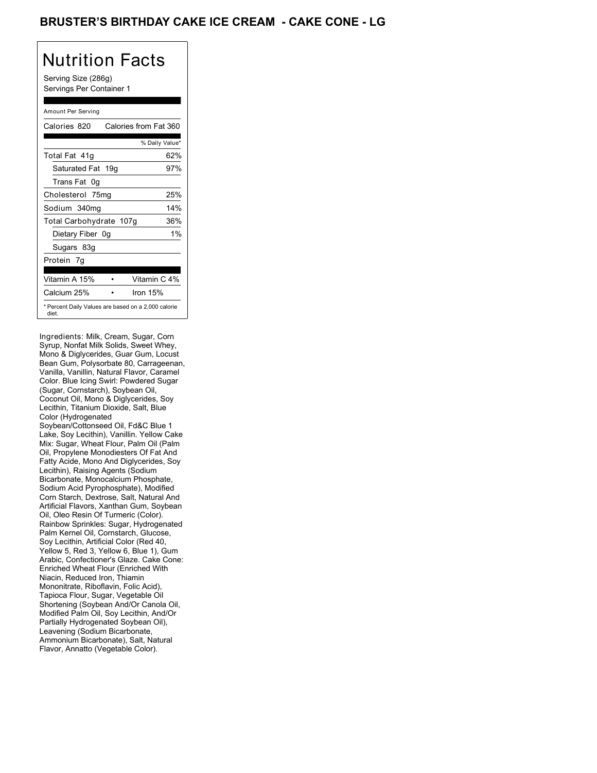## BRUSTER'S BIRTHDAY CAKE ICE CREAM **- CAKE CONE - LG**

# Nutrition Facts

Serving Size (286g) Servings Per Container 1

#### Amount Per Serving

| Calories 820            | Calories from Fat 360                               |
|-------------------------|-----------------------------------------------------|
|                         | % Daily Value*                                      |
| Total Fat 41g           | 62%                                                 |
| Saturated Fat 19g       | 97%                                                 |
| Trans Fat 0q            |                                                     |
| Cholesterol 75mg        | 25%                                                 |
| Sodium 340mg            | 14%                                                 |
| Total Carbohydrate 107g | 36%                                                 |
| Dietary Fiber 0g        | $1\%$                                               |
| Sugars 83g              |                                                     |
| Protein 7q              |                                                     |
|                         |                                                     |
| Vitamin A 15%           | Vitamin C 4%                                        |
| Calcium 25%             | Iron $15%$                                          |
| diet.                   | * Percent Daily Values are based on a 2,000 calorie |

Ingredients: Milk, Cream, Sugar, Corn Syrup, Nonfat Milk Solids, Sweet Whey, Mono & Diglycerides, Guar Gum, Locust Bean Gum, Polysorbate 80, Carrageenan, Vanilla, Vanillin, Natural Flavor, Caramel Color. Blue Icing Swirl: Powdered Sugar (Sugar, Cornstarch), Soybean Oil, Coconut Oil, Mono & Diglycerides, Soy Lecithin, Titanium Dioxide, Salt, Blue Color (Hydrogenated Soybean/Cottonseed Oil, Fd&C Blue 1 Lake, Soy Lecithin), Vanillin. Yellow Cake Mix: Sugar, Wheat Flour, Palm Oil (Palm Oil, Propylene Monodiesters Of Fat And Fatty Acide, Mono And Diglycerides, Soy Lecithin), Raising Agents (Sodium Bicarbonate, Monocalcium Phosphate, Sodium Acid Pyrophosphate), Modified Corn Starch, Dextrose, Salt, Natural And Artificial Flavors, Xanthan Gum, Soybean Oil, Oleo Resin Of Turmeric (Color). Rainbow Sprinkles: Sugar, Hydrogenated Palm Kernel Oil, Cornstarch, Glucose, Soy Lecithin, Artificial Color (Red 40, Yellow 5, Red 3, Yellow 6, Blue 1), Gum Arabic, Confectioner's Glaze. Cake Cone: Enriched Wheat Flour (Enriched With Niacin, Reduced Iron, Thiamin Mononitrate, Riboflavin, Folic Acid), Tapioca Flour, Sugar, Vegetable Oil Shortening (Soybean And/Or Canola Oil, Modified Palm Oil, Soy Lecithin, And/Or Partially Hydrogenated Soybean Oil), Leavening (Sodium Bicarbonate, Ammonium Bicarbonate), Salt, Natural Flavor, Annatto (Vegetable Color).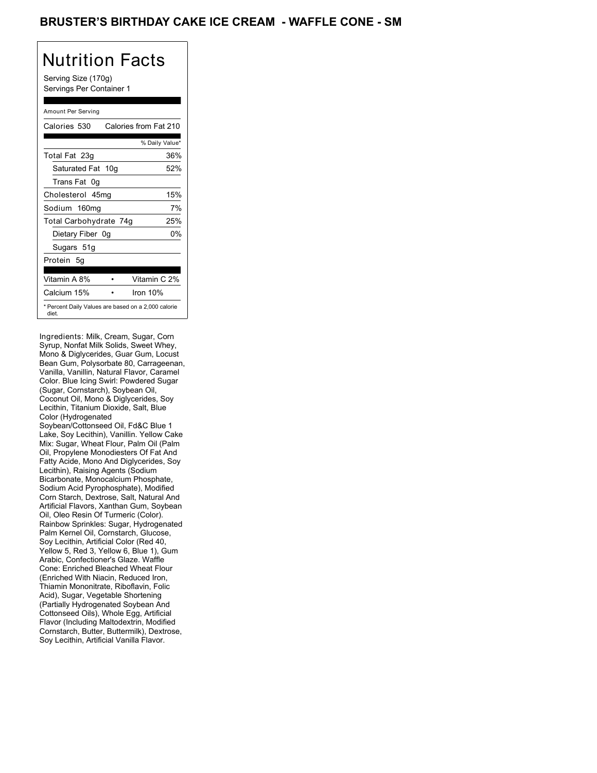### BRUSTER'S BIRTHDAY CAKE ICE CREAM - WAFFLE CONE - SM

# Nutrition Facts

Serving Size (170g) Servings Per Container 1

#### Amount Per Serving

| Calories 530           | Calories from Fat 210                               |
|------------------------|-----------------------------------------------------|
|                        | % Daily Value*                                      |
| Total Fat 23g          | 36%                                                 |
| Saturated Fat 10g      | 52%                                                 |
| Trans Fat 0g           |                                                     |
| Cholesterol 45mg       | 15%                                                 |
| Sodium 160mg           | 7%                                                  |
| Total Carbohydrate 74g | 25%                                                 |
| Dietary Fiber 0g       | 0%                                                  |
| Sugars 51g             |                                                     |
| Protein 5g             |                                                     |
|                        |                                                     |
| Vitamin A 8%           | Vitamin C 2%                                        |
| Calcium 15%            | Iron $10%$                                          |
| diet.                  | * Percent Daily Values are based on a 2,000 calorie |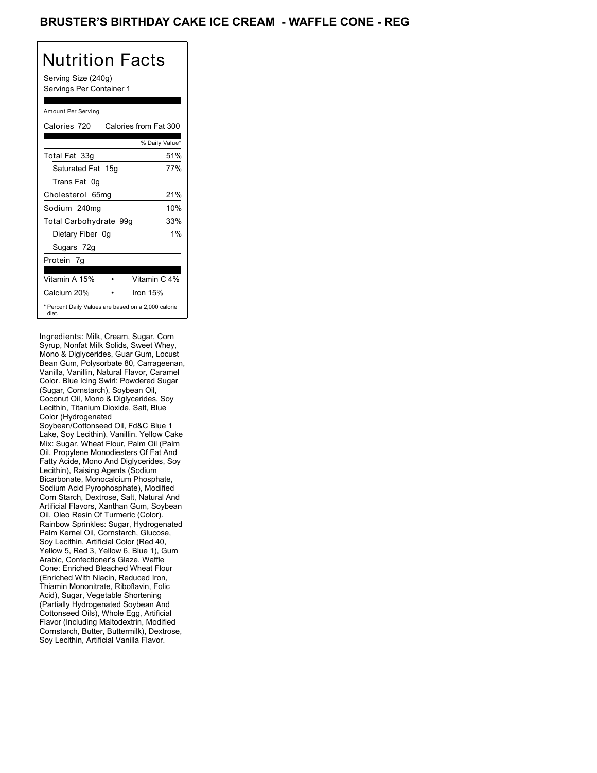### BRUSTER'S BIRTHDAY CAKE ICE CREAM - WAFFLE CONE - REG

# Nutrition Facts

Serving Size (240g) Servings Per Container 1

#### Amount Per Serving

| Calories 720           | Calories from Fat 300                               |
|------------------------|-----------------------------------------------------|
|                        | % Daily Value*                                      |
| Total Fat 33g          | 51%                                                 |
| Saturated Fat 15g      | 77%                                                 |
| Trans Fat 0q           |                                                     |
| Cholesterol 65mg       | 21%                                                 |
| Sodium 240mg           | 10%                                                 |
| Total Carbohydrate 99g | 33%                                                 |
| Dietary Fiber 0g       | $1\%$                                               |
| Sugars 72g             |                                                     |
| Protein 7q             |                                                     |
|                        |                                                     |
| Vitamin A 15%          | Vitamin C 4%                                        |
| Calcium 20%            | Iron $15%$                                          |
| diet.                  | * Percent Daily Values are based on a 2,000 calorie |